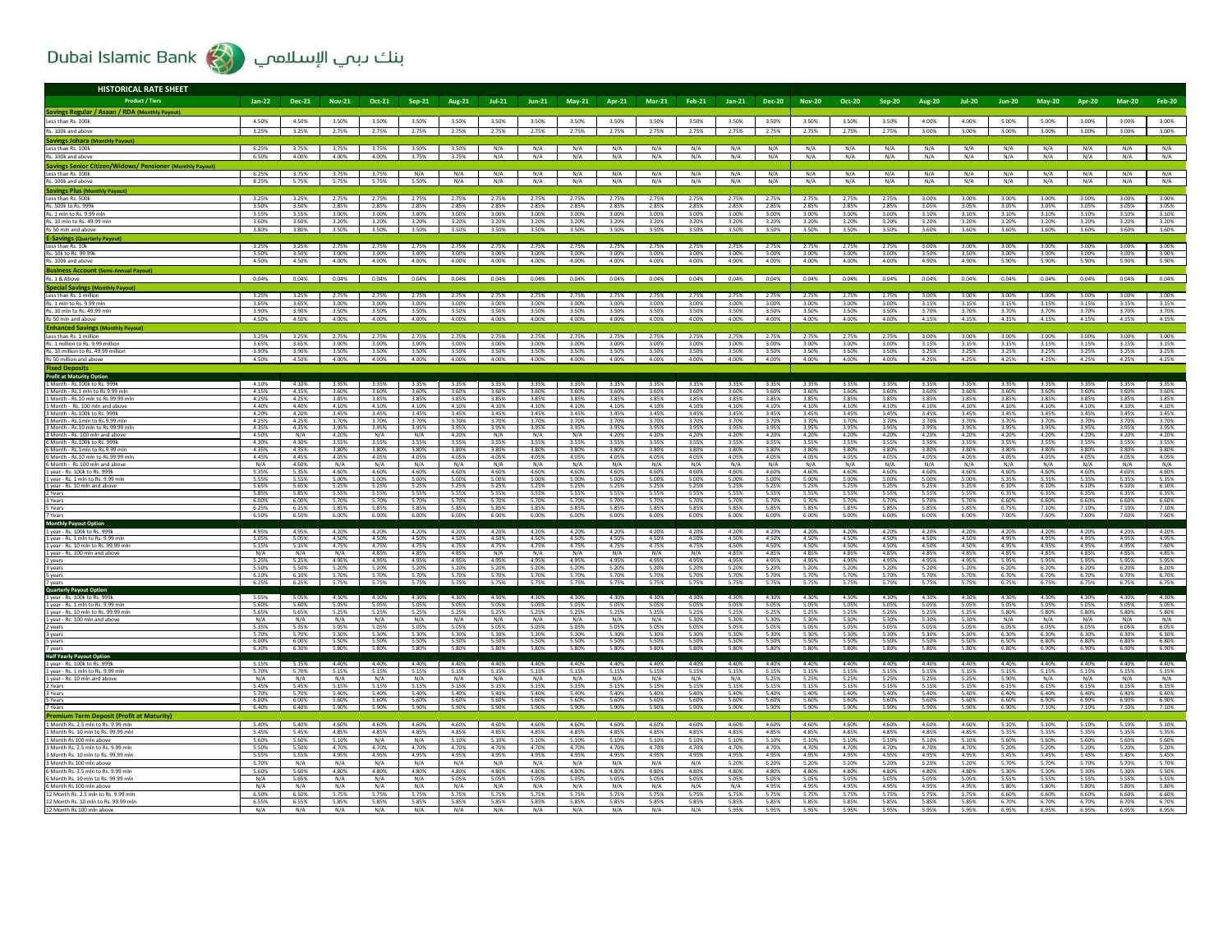## Dubai Islamic Bank (المسلامي الإسلامي

| <b>HISTORICAL RATE SHEET</b>                                                       |                |                   |                |                |                |                            |                |                |                |                |                |                   |                |                |                |                |                |                |                |                |                |                |                |                |
|------------------------------------------------------------------------------------|----------------|-------------------|----------------|----------------|----------------|----------------------------|----------------|----------------|----------------|----------------|----------------|-------------------|----------------|----------------|----------------|----------------|----------------|----------------|----------------|----------------|----------------|----------------|----------------|----------------|
| <b>Product / Tiers</b>                                                             | $Jan-22$       | <b>Dec-21</b>     | <b>Nov-21</b>  | Oct-21         | <b>Sep-21</b>  | Aug-21                     | $Jul-21$       | $Jun-21$       | $May-21$       | Apr-21         | <b>Mar-21</b>  | <b>Feb-21</b>     | $Jan-21$       | <b>Dec-20</b>  | <b>Nov-20</b>  | <b>Oct-20</b>  | <b>Sep-20</b>  | <b>Aug-20</b>  | $Jul-20$       | <b>Jun-20</b>  | May-20         | Apr-20         | <b>Mar-20</b>  | <b>Feb-20</b>  |
| Savings Regular / Asaan / RDA (Monthly Payou                                       |                |                   |                |                |                |                            |                |                |                |                |                |                   |                |                |                |                |                |                |                |                |                |                |                |                |
| Less than Rs. 100k                                                                 | 4.50%          | 4.50%             | 3.50%          | 3.50%          | 3.50%          | 3.50%                      | 3.50%          | 3.50%          | 3.50%          | 3.50%          | 3.50%          | 3.50%             | 3.50%          | 3.50%          | 3.50%          | 3.50%          | 3.50%          | 4.00%          | 4.00%          | 5.00%          | 5.00%          | 3.00%          | 3.00%          | 3.00%          |
| Rs. 100k and above                                                                 | 3.25%          | 3.25%             | 2.75%          | 2.75%          | 2.75%          | 2.75%                      | 2.75%          | 2.75%          | 2.75%          | 2.75%          | 2.75%          | 2.75%             | 2.75%          | 2.75%          | 2.75%          | 2.75%          | 2.75%          | 3.00%          | 3.00%          | 3.00%          | 3.00%          | 3.00%          | 3.00%          | 3.00%          |
| Savings Johara (Mo                                                                 | 6.25%          | 3.75%             | 3.75%          | 3.75%          | 3.50%          | 3.50%                      | N/A            | N/A            | N/A            | N/A            | N/A            | N/A               | N/A            | N/A            | N/A            | N/A            | N/A            | N/A            | N/A            | N/A            | N/A            | N/A            | N/A            |                |
| Less than Rs. 100k<br>Rs. 100k and above                                           | 6.50%          | 4.00%             | 4.00%          | 4.00%          | 3.75%          | 3.75%                      | N/A            | N/A            | N/A            | N/A            | N/A            | N/A               | N/A            | N/A            | N/A            | N/A            | N/A            | N/A            | N/A            | N/A            | N/A            | N/A            | N/A            | N/A<br>N/A     |
| Savings Senior Citizen/Widows/ Pensioner (Monthly Payout                           |                |                   |                |                |                |                            |                |                |                |                |                |                   |                |                |                |                |                |                |                |                |                |                |                |                |
| Less than Rs. 100k                                                                 | 6.25%<br>8.25% | 3.75%<br>5.75%    | 3.75%<br>5.75% | 3.75%<br>5.75% | N/A<br>5.50%   | N/A<br>N/A                 | N/A<br>N/A     | N/A<br>N/A     | N/A<br>N/A     | N/A<br>N/A     | N/A<br>N/A     | N/A<br>N/A        | N/A<br>N/A     | N/A<br>N/A     | N/A<br>N/A     | N/A<br>N/A     | N/A<br>N/A     | N/A<br>N/A     | N/A<br>N/A     | N/A            | N/A<br>N/A     | N/A<br>N/A     | N/A<br>N/A     | N/A            |
| Rs. 100k and above<br><b>vings Plus (Monthly Payout)</b>                           |                |                   |                |                |                |                            |                |                |                |                |                |                   |                |                |                |                |                |                |                | N/A            |                |                |                | N/A            |
| Less than Rs. 500k                                                                 | 3.25%          | 3.25%             | 2.75%          | 2.75%          | 2.75%          | 2.75%                      | 2.75%          | 2.75%          | 2.75%          | 2.75%          | 2.75%          | 2.75%             | 2.75%          | 2.75%          | 2.75%          | 2.75%          | 2.75%          | 3.00%          | 3.00%          | 3.00%          | 3.00%          | 3.00%          | 3.00%          | 3.00%          |
| Rs. 500k to Rs. 999k                                                               | 3.50%          | 3.50%             | 2.85%          | 2.85%          | 2.85%          | 2.85%                      | 2.85%          | 2.85%          | 2.85%          | 2.85%          | 2.85%          | 2.85%             | 2.85%          | 2.85%          | 2.85%          | 2.85%          | 2.85%          | 3.05%          | 3.05%          | 3.05%          | 3.05%          | 3.05%          | 3.05%          | 3.05%          |
| Rs. 1 mln to Rs. 9.99 mln<br>Rs. 10 mln to Rs. 49.99 mln                           | 3.55%<br>3.60% | 3.55%<br>3.60%    | 3.00%<br>3.20% | 3.00%<br>3.20% | 3.00%<br>3.20% | 3.00%<br>3.20%             | 3.00%<br>3.20% | 3.00%<br>3.20% | 3.00%<br>3.20% | 3.00%<br>3.20% | 3.00%<br>3.20% | 3.00%<br>3.20%    | 3.00%<br>3.20% | 3.00%<br>3.20% | 3.00%<br>3.20% | 3.00%<br>3.20% | 3.00%<br>3.20% | 3.10%<br>3.20% | 3.10%<br>3.20% | 3.10%<br>3.20% | 3.10%<br>3.20% | 3.10%<br>3.20% | 3.10%<br>3.20% | 3.10%<br>3.20% |
| Rs 50 mln and above                                                                | 3.80%          | 3.80%             | 3.50%          | 3.50%          | 3.50%          | 3.50%                      | 3.50%          | 3.50%          | 3.50%          | 3.50%          | 3.50%          | 3.50%             | 3.50%          | 3.50%          | 3.50%          | 3.50%          | 3.50%          | 3.60%          | 3.60%          | 3.60%          | 3.60%          | 3.60%          | 3.60%          | 3.60%          |
| <b>Savings (Quarterly Payout)</b>                                                  |                |                   |                |                |                |                            |                |                |                |                |                |                   |                |                |                |                |                |                |                |                |                |                |                |                |
| Less than Rs. 10k                                                                  | 3.25%<br>3.50% | 3.25%<br>3.50%    | 2.75%<br>3.00% | 2.75%<br>3.00% | 2.75%<br>3.00% | 2.75%<br>3.00%             | 2.75%<br>3.00% | 2.75%<br>3.00% | 2.75%<br>3.00% | 2.75%<br>3.00% | 2.75%<br>3.00% | 2.75%<br>3.00%    | 2.75%<br>3.00% | 2.75%<br>3.00% | 2.75%<br>3.00% | 2.75%<br>3.00% | 2.75%<br>3.00% | 3.00%<br>3.50% | 3.00%<br>3.50% | 3.00%<br>3.00% | 3.00%<br>3.00% | 3.00%<br>3.00% | 3.00%<br>3.00% | 3.00%<br>3.00% |
| Rs. 10k to Rs. 99.99k<br>Rs. 100k and above                                        | 4.50%          | 4.50%             | 4.00%          | 4.00%          | 4.00%          | 4.00%                      | 4.00%          | 4.00%          | 4.00%          | 4.00%          | 4.00%          | 4.00%             | 4.00%          | 4.00%          | 4.00%          | 4.00%          | 4.00%          | 4.90%          | 4.90%          | 5.90%          | 5.90%          | 5.90%          | 5.90%          | 5.90%          |
| siness Account (Semi-Annual Payou                                                  |                |                   |                |                |                |                            |                |                |                |                |                |                   |                |                |                |                |                |                |                |                |                |                |                |                |
| Rs. 1 & Above                                                                      |                | $0.04\%$ $0.04\%$ | 0.04%          |                |                | $0.04\%$ $0.04\%$ $0.04\%$ |                |                |                |                |                | $0.04\%$ $0.04\%$ |                | 0.04%          | 0.04%          |                | 0.04% 0.04%    | 0.04%          | 0.04%          | 0.04%          | 0.04%          | 0.04%          | 0.04%          | 0.04%          |
| <b>Decial Savings (Monthly Payout)</b>                                             | 3.25%          | 3.25%             | 2.75%          | 2.75%          | 2.75%          | 2.75%                      | 2.75%          | 2.75%          | 2.75%          | 2.75%          | 2.75%          | 2.75%             | 2.75%          | 2.75%          | 2.75%          | 2.75%          | 2.75%          | 3.00%          | 3.00%          | 3.00%          | 3.00%          | 3.00%          | 3.00%          | 3.00%          |
| Less than Rs. 1 million<br>Rs. 1 mln to Rs. 9.99 mln                               | 3.65%          | 3.65%             | 3.00%          | 3.00%          | 3.00%          | 3.00%                      | 3.00%          | 3.00%          | 3.00%          | 3.00%          | 3.00%          | 3.00%             | 3.00%          | 3.00%          | 3.00%          | 3.00%          | 3.00%          | 3.15%          | 3.15%          | 3.15%          | 3.15%          | 3.15%          | 3.15%          | 3.15%          |
| Rs. 10 mln to Rs. 49.99 mln                                                        | 3.90%          | 3.90%             | 3.50%          | 3.50%          | 3.50%          | 3.50%                      | 3.50%          | 3.50%          | 3.50%          | 3.50%          | 3.50%          | 3.50%             | 3.50%          | 3.50%          | 3.50%          | 3.50%          | 3.50%          | 3.70%          | 3.70%          | 3.70%          | 3.70%          | 3.70%          | 3.70%          | 3.70%          |
| Rs 50 mln and above                                                                | 4.50%          | 4.50%             | 4.00%          | 4.00%          | 4.00%          | 4.00%                      | 4.00%          | 4.00%          | 4.00%          | 4.00%          | 4.00%          | 4.00%             | 4.00%          | 4.00%          | 4.00%          | 4.00%          | 4.00%          | 4.15%          | 4.15%          | 4.15%          | 4.15%          | 4.15%          | 4.15%          | 4.15%          |
| hanced Savings (Monthly Payout)                                                    | 3.25%          | 3.25%             | 2.75%          | 2.75%          | 2.75%          | 2.75%                      | 2.75%          | 2.75%          | 2.75%          | 2.75%          | 2.75%          | 2.75%             | 2.75%          | 2.75%          | 2.75%          | 2.75%          | 2.75%          | 3.00%          | 3.00%          | 3.00%          | 3.00%          | 3.00%          | 3.00%          | 3.00%          |
| Less than Rs. 1 million<br>Rs. 1 million to Rs. 9.99 milli                         | 3.65%          | 3.65%             | 3.00%          | 3.00%          | 3.00%          | 3.00%                      | 3.00%          | 3.00%          | 3.00%          | 3.00%          | 3.00%          | 3.00%             | 3.00%          | 3.00%          | 3.00%          | 3.00%          | 3.00%          | 3.15%          | 3.15%          | 3.15%          | 3.15%          | 3.15%          | 3.15%          | 3.15%          |
| Rs. 10 million to Rs. 49.99 million                                                | 3.90%          | 3.90%             | 3.50%          | 3.50%          | 3.50%          | 3.50%                      | 3.50%          | 3.50%          | 3.50%          | 3.50%          | 3.50%          | 3.50%             | 3.50%          | 3.50%          | 3.50%          | 3.50%          | 3.50%          | 3.25%          | 3.25%          | 3.25%          | 3.25%          | 3.25%          | 3.25%          | 3.25%          |
| Rs 50 million and above                                                            | 4.50%          | 4.50%             | 4.00%          | 4.00%          | 4.00%          | 4.00%                      | 4.00%          | 4.00%          | 4.00%          | 4.00%          | 4.00%          | 4.00%             | 4.00%          | 4.00%          | 4.00%          | 4.00%          | 4.00%          | 4.25%          | 4.25%          | 4.25%          | 4.25%          | 4.25%          | 4.25%          | 4.25%          |
| <b>Fixed Depo:</b><br><b>Profit at Maturity Option</b>                             |                |                   |                |                |                |                            |                |                |                |                |                |                   |                |                |                |                |                |                |                |                |                |                |                |                |
| 1 Month - Rs.100k to Rs. 999k                                                      | 4.10%          | 4.10%             | 3.35%          | 3.35%          | 3.35%          | 3.35%                      | 3.35%          | 3.35%          | 3.35%          | 3.35%          | 3.35%          | 3.35%             | 3.35%          | 3.35%          | 3.35%          | 3.35%          | 3.35%          | 3.35%          | 3.35%          | 3.35%          | 3.35%          | 3.35%          | 3.35%          | 3.35%          |
| 1 Month - Rs 1 mln to Rs 9 99 mln                                                  | 4.15%          | 4.15%             | 3.60%          | 3.60%          | 3.60%          | 3.60%                      | 3.60%          | 3.60%          | 3.60%          | 3.60%          | 3.60%          | 3.60%             | 3.60%          | 3.60%          | 3.60%          | 3.60%          | 3.60%          | 3.60%          | 3.60%          | 3.60%          | 3.60%          | 3.60%          | 3.60%          | 3.60%          |
| 1 Month - Rs.10 mln to Rs.99.99 mln<br>1 Month - Rs. 100 mln and above             | 4.25%<br>4.40% | 4.25%<br>4.40%    | 3.85%<br>4.10% | 3.85%<br>4.10% | 3.85%<br>4.10% | 3.85%<br>4.10%             | 3.85%<br>4.10% | 3.85%<br>4.10% | 3.85%<br>4.10% | 3.85%<br>4.10% | 3.85%<br>4.10% | 3.85%<br>4.10%    | 3.85%<br>4.10% | 3.85%<br>4.10% | 3.85%<br>4.10% | 3.85%<br>4.10% | 3.85%<br>4.10% | 3.85%<br>4.10% | 3.85%<br>4.10% | 3.85%<br>4.10% | 3.85%<br>4.10% | 3.85%<br>4.10% | 3.85%<br>4.10% | 3.85%<br>4.10% |
| 3 Month - Rs 100k to Rs 999k                                                       | 4.20%          | 4.20%             | 3.45%          | 3.45%          | 3.45%          | 3.45%                      | 3.45%          | 3.45%          | 3.45%          | 3.45%          | 3.45%          | 3.45%             | 3.45%          | 3.45%          | 3.45%          | 3.45%          | 3.45%          | 3.45%          | 3.45%          | 3.45%          | 3.45%          | 3.45%          | 3.45%          | 3.45%          |
| 3 Month - Rs 1mln to Rs 9.99 mln<br>3 Month - Rs 10 mln to Rs 99.99 mln            | 4.25%<br>4.35% | 4.25%<br>4.35%    | 3.70%<br>3.95% | 3.70%<br>3.95% | 3.70%<br>3.95% | 3.70%<br>3.95%             | 3.70%<br>3.95% | 3.70%<br>3.95% | 3.70%<br>3.95% | 3.70%<br>3.95% | 3.70%<br>3.95% | 3.70%<br>3.95%    | 3.70%<br>3.95% | 3.70%<br>3.95% | 3.70%<br>3.95% | 3.70%<br>3.95% | 3.70%<br>3.95% | 3.70%<br>3.95% | 3.70%<br>3.95% | 3.70%<br>3.95% | 3.70%<br>3.95% | 3.70%<br>3.95% | 3.70%<br>3.95% | 3.70%<br>3.95% |
| 3 Month - Rs. 100 mln and above                                                    | 4.50%          | N/A               | 4.20%          | N/A            | N/A            | 4.20%                      | N/A            | N/A            | N/A            | 4.20%          | 4.20%          | 4.20%             | 4.20%          | 4.20%          | 4.20%          | 4.20%          | 4.20%          | 4.20%          | 4.20%          | 4.20%          | 4.20%          | 4.20%          | 4.20%          | 4.20%          |
| 6 Month - Rs 100k to Rs 999k                                                       | 4.30%          | 4.30%             | 3.55%          | 3.55%          | 3.55%          | 3.55%                      | 3.55%          | 3.55%          | 3.55%          | 3.55%          | 3.55%          | 3.55%             | 3.55%          | 3.55%          | 3.55%          | 3.55%          | 3.55%          | 3.55%          | 3.55%          | 3.55%          | 3.55%          | 3.55%          | 3.55%          | 3.55%          |
| Month - Rs.1mln to Rs.9.99 mln<br>6 Month - Rs 10 mln to Rs 99.99 mln              | 4.35%<br>4.45% | 4.35%<br>4.45%    | 3.80%<br>4.05% | 3.80%<br>4.05% | 3.80%<br>4.05% | 3.80%<br>4.05%             | 3.80%<br>4.05% | 3.80%<br>4.05% | 3.80%<br>4.05% | 3.80%<br>4.05% | 3.80%<br>4.05% | 3.80%<br>4.05%    | 3.80%<br>4.05% | 3.80%<br>4.05% | 3.80%<br>4.05% | 3.80%<br>4.05% | 3.80%<br>4.05% | 3.80%<br>4.05% | 3.80%<br>4.05% | 3.80%<br>4.05% | 3.80%<br>4.05% | 3.80%<br>4.05% | 3.80%<br>4.05% | 3.80%<br>4.05% |
| Month - Rs.100 mln and above                                                       | N/A            | 4.60%             | N/A            | N/A            | N/A            | N/A                        | N/A            | N/A            | N/A            | N/A            | N/A            | N/A               | N/A            | N/A            | N/A            | N/A            | N/A            | N/A            | N/A            | N/A            | N/A            | N/A            | N/A            | N/A            |
| 1 year - Rs. 100k to Rs. 999k<br>1 year - Rs. 1 mln to Rs. 9.99 mln                | 5.35%<br>5.55% | 5.35%<br>5.55%    | 4.60%<br>5.00% | 4.60%<br>5.00% | 4.60%<br>5.00% | 4.60%<br>5.00%             | 4.60%<br>5.00% | 4.60%<br>5.00% | 4.60%<br>5.00% | 4.60%<br>5.00% | 4.60%<br>5.00% | 4.60%<br>5.00%    | 4.60%<br>5.00% | 4.60%<br>5.00% | 4.60%<br>5.00% | 4.60%<br>5.00% | 4.60%<br>5.00% | 4.60%<br>5.00% | 4.60%<br>5.00% | 4.60%<br>5.35% | 4.60%<br>5.35% | 4.60%<br>5.35% | 4.60%<br>5.35% | 4.60%<br>5.35% |
| vear - Rs. 10 mln and abov                                                         | 5.65%          | 5.65%             | 5.25%          | 5.25%          | 5.25%          | 5.25%                      | 5.25%          | 5.25%          | 5.25%          | 5.25%          | 5.25%          | 5.25%             | 5.25%          | 5.25%          | 5.25%          | 5.25%          | 5.25%          | 5.25%          | 5.25%          | 6.10%          | 6.10%          | 6.10%          | 6.10%          | 6.10%          |
| 2 Years                                                                            | 5.85%          | 5.85%             | 5.55%          | 5.55%          | 5.55%          | 5.55%                      | 5.55%          | 5.55%          | 5.55%          | 5.55%          | 5.55%          | 5.55%             | 5.55%          | 5.55%          | 5.55%          | 5.55%          | 5.55%          | 5.55%          | 5.55%          | 6.35%          | 6.35%          | 6.35%          | 6.35%          | 6.35%          |
| 3 Years<br>5 Years                                                                 | 6.00%<br>6.25% | 6.00%<br>6.25%    | 5.70%<br>5.85% | 5.70%<br>5.85% | 5.70%<br>5.85% | 5.70%<br>5.85%             | 5.70%<br>5.85% | 5.70%<br>5.85% | 5.70%<br>5.85% | 5.70%<br>5.85% | 5.70%<br>5.85% | 5.70%<br>5.85%    | 5.70%<br>5.85% | 5.70%<br>5.85% | 5.70%<br>5.85% | 5.70%<br>5.85% | 5.70%<br>5.85% | 5.70%<br>5.85% | 5.70%<br>5.85% | 6.60%<br>6.75% | 6.60%<br>7.10% | 6.60%<br>7.10% | 6.60%<br>7.10% | 6.60%<br>7.10% |
| 7 Years                                                                            | 6.50%          | 6.50%             | 6.00%          | 6.00%          | 6.00%          | 6.00%                      | 6.00%          | 6.00%          | 6.00%          | 6.00%          | 6.00%          | 6.00%             | 6.00%          | 6.00%          | 6.00%          | 6.00%          | 6.00%          | 6.00%          | 6.00%          | 7.00%          | 7.60%          | 7.60%          | 7.60%          | 7.60%          |
| Monthly Payout Option<br>1 year - Rs. 100k to Rs. 999k                             | 4.95%          | 4.95%             | 4.20%          | 4.20%          | 4.20%          | 4.20%                      | 4.20%          | 4.20%          | 4.20%          | 4.20%          | 4.20%          | 4.20%             | 4.20%          | 4.20%          | 4.20%          | 4.20%          | 4.20%          | 4.20%          | 4.20%          | 4.20%          | 4.20%          | 4.20%          | 4.20%          | 4.20%          |
| 1 year - Rs. 1 mln to Rs. 9.99 ml                                                  | 5.05%          | 5.05%             | 4.50%          | 4.50%          | 4.50%          | 4.50%                      | 4.50%          | 4.50%          | 4.50%          | 4.50%          | 4.50%          | 4.50%             | 4.50%          | 4.50%          | 4.50%          | 4.50%          | 4.50%          | 4.50%          | 4.50%          | 4.95%          | 4.95%          | 4.95%          | 4.95%          | 4.95%          |
| 1 year - Rs. 10 mln to Rs. 99.99 mln                                               | 5.15%          | 5.15%             | 4.75%          | 4.75%          | 4.75%          | 4.75%                      | 4.75%          | 4.75%          | 4.75%          | 4.75%          | 4.75%          | 4.75%             | 4.50%          | 4.50%          | 4.50%          | 4.50%          | 4.50%          | 4.50%          | 4.50%          | 4.95%          | 4.95%          | 4.95%          | 4.95%          | 7.60%          |
| 1 year - Rs. 100 mln and above                                                     | N/A<br>5.25%   | N/A<br>5.25%      | N/A<br>4.95%   | 4.85%<br>4.95% | 4.85%<br>4.95% | 4.85%<br>4.95%             | N/A<br>4.95%   | N/A<br>4.95%   | N/A<br>4.95%   | N/A<br>4.95%   | N/A<br>4.95%   | N/A<br>4.95%      | 4.85%<br>4.95% | 4.85%<br>4.95% | 4.85%<br>4.95% | 4.85%<br>4.95% | 4.85%<br>4.95% | 4.85%<br>4.95% | 4.85%<br>4.95% | 4.85%<br>5.95% | 4.85%<br>5.95% | 4.85%<br>5.95% | 4.85%<br>5.95% | 4.85%<br>5.95% |
| 3 years                                                                            | 5.50%          | 5.50%             | 5.20%          | 5.20%          | 5.20%          | 5.20%                      | 5.20%          | 5.20%          | 5.20%          | 5.20%          | 5.20%          | 5.20%             | 5.20%          | 5.20%          | 5.20%          | 5.20%          | 5.20%          | 5.20%          | 5.20%          | 6.20%          | 6.20%          | 6.20%          | 6.20%          | 6.20%          |
| 5 years<br>7 years                                                                 | 6.10%<br>6.25% | 6.10%<br>6.25%    | 5.70%<br>5.75% | 5.70%<br>5.75% | 5.70%<br>5.75% | 5.70%<br>5.75%             | 5.70%<br>5.75% | 5.70%<br>5.75% | 5.70%<br>575%  | 5.70%<br>5.75% | 5.70%<br>5.75% | 5.70%<br>5.75%    | 5.70%<br>5.75% | 5.70%<br>5.75% | 5.70%<br>5.75% | 5.70%<br>5.75% | 5.70%<br>5.75% | 5.70%<br>5.75% | 5.70%<br>5.75% | 6.70%<br>6.75% | 6.70%<br>6.75% | 6.70%<br>6.75% | 6.70%<br>6.75% | 6.70%<br>6.75% |
|                                                                                    |                |                   |                |                |                |                            |                |                |                |                |                |                   |                |                |                |                |                |                |                |                |                |                |                |                |
| Quarterly Payout Option<br>1 year - Rs. 100k to Rs. 999                            | 5.05%          | 5.05%             | 4.30%          | 4.30%          | 4.30%          | 4.30%                      | 4.30%          | 4.30%          | 4.30%          | 4.30%          | 4.30%          | 4.30%             | 4.30%          | 4.30%          | 4.30%          | 4.30%          | 4.30%          | 4.30%          | 4.30%          | 4.30%          | 4.30%          | 4.30%          | 4.30%          | 4.30%          |
| 1 year - Rs. 1 mln to Rs. 9.99 mln<br>1 year - Rs. 10 mln to Rs. 99.99 mln         | 5.60%<br>5.65% | 5.60%<br>5.65%    | 5.05%<br>5.25% | 5.05%<br>5.25% | 5.05%<br>5.25% | 5.05%<br>5.25%             | 5.05%<br>5.25% | 5.05%<br>5.25% | 5.05%<br>5.25% | 5.05%<br>5.25% | 5.05%<br>5.25% | 5.05%<br>5.25%    | 5.05%<br>5.25% | 5.05%<br>5.25% | 5.05%<br>5.25% | 5.05%<br>5.25% | 5.05%<br>5.25% | 5.05%<br>5.25% | 5.05%<br>5.25% | 5.05%<br>5.80% | 5.05%<br>5.80% | 5.05%<br>5.80% | 5.05%<br>5.80% | 5.05%<br>5.80% |
| ear - Rs. 100 mln and abow                                                         | N/A            | N/A               | N/A            | N/A            | N/A            | N/A                        | N/A            | N/A            | N/A            | N/A            | N/A            | 5.30%             | 5.30%          | 5.30%          | 5.30%          | 5.30%          | 5.30%          | 5.30%          | 5.30%          | N/A            | N/A            | N/A            | N/A            | N/A            |
|                                                                                    | 5.35%<br>5.70% | 5.35%<br>5.70%    | 5.05%<br>5.30% | 5.05%<br>5.30% | 5.05%<br>5.30% | 5.05%<br>5.30%             | 5.05%<br>5.30% | 5.05%<br>5.30% | 5.05%<br>5.30% | 5.05%<br>5.30% | 5.05%<br>5.30% | 5.05%<br>5.30%    | 5.05%<br>5.30% | 5.05%<br>5.30% | 5.05%<br>5.30% | 5.05%<br>5.30% | 5.05%<br>5.30% | 5.05%<br>5.30% | 5.05%<br>5.30% | 6.05%<br>6.30% | 6.05%<br>6.30% | 6.05%<br>6.30% | 6.05%<br>6.30% | 6.05%<br>6.30% |
| 5 years                                                                            | 6.00%          | 6.00%             | 5.50%          | 5.50%          | 5.50%          | 5.50%                      | 5.50%          | 5.50%          | 5.50%          | 5.50%          | 5.50%          | 5.50%             | 5.50%          | 5.50%          | 5.50%          | 5.50%          | 5.50%          | 5.50%          | 5.50%          | 6.50%          | 6.80%          | 6.80%          | 6.80%          | 6.80%          |
| 7 years                                                                            | 6.30%          | 6.30%             | 5.80%          | 5.80%          | 5.80%          | 5.80%                      | 5.80%          | 5.80%          | 5.80%          | 5.80%          | 5.80%          | 5.80%             | 5.80%          | 5.80%          | 5.80%          | 5.80%          | 5.80%          | 5.80%          | 5.80%          | 6.80%          | 6.90%          | 6.90%          | 6.90%          | 6.90%          |
| Half Yearly Payout Option<br>1 year - Rs. 100k to Rs. 999k                         | 5.15%          | 5.15%             | 4.40%          | 4.40%          | 4.40%          | 4.40%                      | 4.40%          | 4.40%          | 4.40%          | 4.40%          | 4.40%          | 4.40%             | 4.40%          | 4.40%          | 4.40%          | 4.40%          | 4.40%          | 4.40%          | 4.40%          | 4.40%          | 4.40%          | 4.40%          | 4.40%          | 4.40%          |
| 1 year - Rs. 1 mln to Rs. 9.99 ml                                                  | 5.70%          | 5.70%             | 5.15%          | 5.15%          | 5.15%          | 5.15%                      | 5.15%          | 5.15%          | 5.15%          | 5.15%          | 5.15%          | 5.15%             | 5.15%          | 5.15%          | 5.15%          | 5.15%          | 5.15%          | 5.15%          | 5.15%          | 5.15%          | 5.15%          | 5.15%          | 5.15%          | 5.15%          |
| 1 year - Rs. 10 mln and above                                                      | N/A<br>5.45%   | N/A<br>5.45%      | N/A<br>5.15%   | N/A<br>5.15%   | N/A<br>5.15%   | N/A<br>5.15%               | N/A<br>5.15%   | N/A<br>5.15%   | N/A<br>5.15%   | N/A<br>5.15%   | N/A<br>5.15%   | N/A<br>5.15%      | N/A<br>5.15%   | 5.25%<br>5.15% | 5.25%<br>5.15% | 5.25%<br>5.15% | 5.25%<br>5.15% | 5.25%<br>5.15% | 5.25%          | 5.90%<br>6.15% | N/A<br>6.15%   | N/A<br>6.15%   | N/A<br>6.15%   | N/A<br>6.15%   |
| rears<br>3 Years                                                                   | 5.70%          | 5.70%             | 5.40%          | 5.40%          | 5.40%          | 5.40%                      | 5.40%          | 5.40%          | 5.40%          | 5.40%          | 5.40%          | 5.40%             | 5.40%          | 5.40%          | 5.40%          | 5.40%          | 5.40%          | 5.40%          | 5.15%<br>5.40% | 6.40%          | 6.40%          | 6.40%          | 6.40%          | 6.40%          |
| 5 Years                                                                            | 6.00%          | 6.00%             | 5.60%          | 5.60%          | 5.60%          | 5.60%                      | 5.60%          | 5.60%          | 5.60%          | 5.60%          | 5.60%          | 5.60%             | 5.60%          | 5.60%          | 5.60%          | 5.60%          | 5.60%          | 5.60%          | 5.60%          | 6.60%          | 6.90%          | 6.90%          | 6.90%          | 6.90%          |
| 7 Years                                                                            | 6.40%          | 6.40%             | 5.90%          | 5.90%          | 5.90%          | 5.90%                      | 5.90%          | 5.90%          | 5.90%          | 5.90%          | 5.90%          | 5.90%             | 5.90%          | 5.90%          | 5.90%          | 5.90%          | 5.90%          | 5.90%          | 5.90%          | 6.90%          | 7.10%          | 7.10%          | 7.109          | 7.10%          |
| <b>Premium Term Deposit (Profit at Maturit 1 Month Rs. 2.5 mln to Rs. 9.99 mln</b> | 5.40%          | 5.40%             | 4.60%          | 4.60%          | 4.60%          | 4.60%                      | 4.60%          | 4.60%          | 4.60%          | 4.60%          | 4.60%          | 4.60%             | 4.60%          | 4.60%          | 4.60%          | 4.60%          | 4.60%          | 4.60%          | 4.60%          | 5.10%          | 5.10%          | 5.10%          | 5.10%          | 5.10%          |
| 1 Month Rs. 10 mln to Rs. 99.99 ml                                                 | 5.45%          | 5.45%             | 4.85%          | 4.85%          | 4.85%          | 4.85%                      | 4.85%          | 4.85%          | 4.85%          | 4.85%          | 4.85%          | 4.85%             | 4.85%          | 4.85%          | 4.85%          | 4.85%          | 4.85%          | 4.85%          | 4.85%          | 5.35%          | 5.35%          | 5.35%          | 5.35%          | 5.35%          |
| 1 Month Rs 100 mln above                                                           | 5.60%          | 5.60%             | 5.10%          | N/A            | N/A            | 5.10%                      | 5.10%          | 5.10%          | 5.10%          | 5.10%          | 5.10%          | 5.10%             | 5.10%          | 5.10%          | 5.10%          | 5.10%          | 5.10%          | 5.10%          | 5.10%          | 5.60%          | 5.60%          | 5.60%          | 5.60%          | 5.60%          |
| 3 Month Rs. 2.5 mln to Rs. 9.99 ml<br>3 Month Rs. 10 mln to Rs. 99.99 mln          | 5.50%<br>5.55% | 5.50%<br>5.55%    | 4.70%<br>4.95% | 4.70%<br>4.95% | 4.70%<br>4.95% | 4.70%<br>4.95%             | 4.70%<br>4.95% | 4.70%<br>4.95% | 4.70%<br>4.95% | 4.70%<br>4.95% | 4.70%<br>4.95% | 4.70%<br>4.95%    | 4.70%<br>4.95% | 4.70%<br>4.95% | 4.70%<br>4.95% | 4.70%<br>4.95% | 4.70%<br>4.95% | 4.70%<br>4.95% | 4.70%<br>4.95% | 5.20%<br>5.45% | 5.20%<br>5.45% | 5.20%<br>5.45% | 5.20%<br>5.45% | 5.20%<br>5.45% |
| 3 Month Rs 100 mln above                                                           | 5.70%          | N/A               | N/A            | N/A            | N/A            | N/A                        | N/A            | N/A            | N/A            | N/A            | N/A            | N/A               | 5.20%          | 5.20%          | 5.20%          | 5.20%          | 5.20%          | 5.20%          | 5.20%          | 5.70%          | 5.70%          | 5.70%          | 5.70%          | 5.70%          |
| 6 Month Rs. 2.5 mln to Rs. 9.99                                                    | 5.60%          | 5.60%             | 4.80%          | 4.80%          | 4.80%          | 4.80%                      | 4.80%          | 4.80%          | 4.80%          | 4.80%          | 4.80%          | 4.80%             | 4.80%          | 4.80%          | 4.80%          | 4.80%          | 4.80%          | 4.80%          | 4.80%          | 5.30%          | 5.30%          | 5.30%          | 5.30%          | 5.30%          |
| 6 Month Rs. 10 mln to Rs. 99.99 mln<br>6 Month Rs 100 mln above                    | N/A<br>N/A     | 5.65%<br>N/A      | N/A<br>N/A     | N/A<br>N/A     | N/A<br>N/A     | 5.05%<br>N/A               | 5.05%<br>N/A   | 5.05%<br>N/A   | 5.05%<br>N/A   | 5.05%<br>N/A   | 5.05%<br>N/A   | 5.05%<br>N/A      | 5.05%<br>N/A   | 5.05%<br>4.95% | 5.05%<br>4.95% | 5.05%<br>4.95% | 5.05%<br>4.95% | 5.05%<br>4.95% | 5.05%<br>4.95% | 5.55%<br>5.80% | 5.55%<br>5.80% | 5.55%<br>5.80% | 5.55%<br>5.80% | 5.55%<br>5.80% |
| 12 Month Rs. 2.5 mln to Rs. 9.99 mln                                               | 6.50%          | 6.50%             | 5.75%          | 5.75%          | 5.75%          | 5.75%                      | 5.75%          | 5.75%          | 5.75%          | 5.75%          | 5.75%          | 5.75%             | 5.75%          | 5.75%          | 5.75%          | 5.75%          | 5.75%          | 5.75%          | 5.75%          | 6.60%          | 6.60%          | 6.60%          | 6.60%          | 6.60%          |
| 12 Month Rs. 10 mln to Rs. 99.99 mln                                               | 6.55%          | 6.55%             | 5.85%          | 5.85%          | 5.85%          | 5.85%                      | 5.85%          | 5.85%          | 5.85%          | 5.85%          | 5.85%          | 5.85%             | 5.85%          | 5.85%          | 5.85%          | 5.85%          | 5.85%          | 5.85%          | 5.85%          | 6.70%          | 6.70%          | 6.70%          | 6.70%          | 6.70%          |
| 12 Month Rs 100 mln above                                                          | N/A            | N/A               | N/A            | N/A            | N/A            | N/A                        | N/A            | N/A            | N/A            | N/A            | N/A            | N/A               | 5.95%          | 5.95%          | 5.95%          | 5.95%          | 5.95%          | 5.95%          | 5.95%          | 6.95%          | 6.95%          | 6.95%          | 6.95%          | 6.95%          |